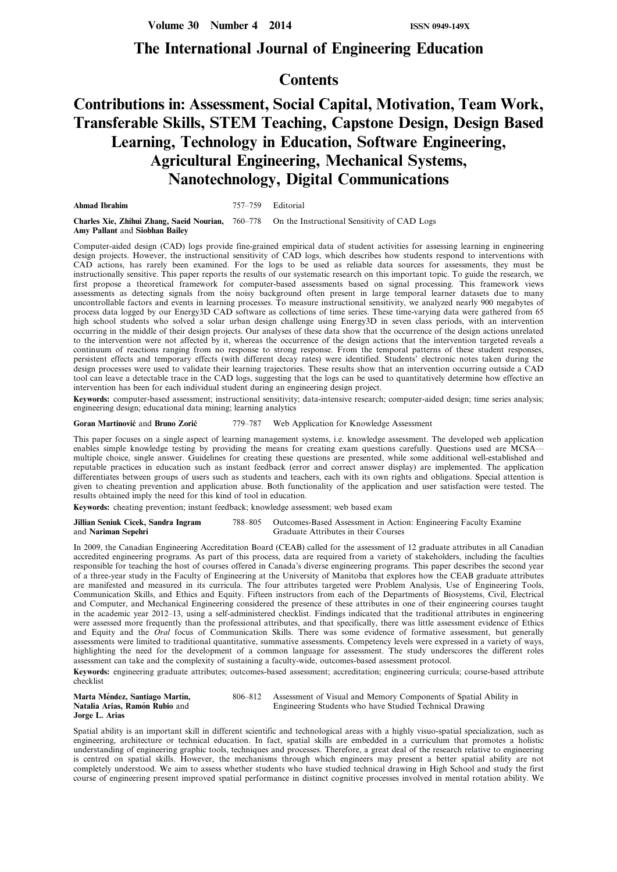# **The International Journal of Engineering Education**

# **Contents**

# **Contributions in: Assessment, Social Capital, Motivation, Team Work, Transferable Skills, STEM Teaching, Capstone Design, Design Based Learning, Technology in Education, Software Engineering, Agricultural Engineering, Mechanical Systems, Nanotechnology, Digital Communications**

**Ahmad Ibrahim** 757–759 Editorial

**Charles Xie, Zhihui Zhang, Saeid Nourian,** 760–778 On the Instructional Sensitivity of CAD Logs **Amy Pallant** and **Siobhan Bailey**

Computer-aided design (CAD) logs provide fine-grained empirical data of student activities for assessing learning in engineering design projects. However, the instructional sensitivity of CAD logs, which describes how students respond to interventions with CAD actions, has rarely been examined. For the logs to be used as reliable data sources for assessments, they must be instructionally sensitive. This paper reports the results of our systematic research on this important topic. To guide the research, we first propose a theoretical framework for computer-based assessments based on signal processing. This framework views assessments as detecting signals from the noisy background often present in large temporal learner datasets due to many uncontrollable factors and events in learning processes. To measure instructional sensitivity, we analyzed nearly 900 megabytes of process data logged by our Energy3D CAD software as collections of time series. These time-varying data were gathered from 65 high school students who solved a solar urban design challenge using Energy3D in seven class periods, with an intervention occurring in the middle of their design projects. Our analyses of these data show that the occurrence of the design actions unrelated to the intervention were not affected by it, whereas the occurrence of the design actions that the intervention targeted reveals a continuum of reactions ranging from no response to strong response. From the temporal patterns of these student responses, persistent effects and temporary effects (with different decay rates) were identified. Students' electronic notes taken during the design processes were used to validate their learning trajectories. These results show that an intervention occurring outside a CAD tool can leave a detectable trace in the CAD logs, suggesting that the logs can be used to quantitatively determine how effective an intervention has been for each individual student during an engineering design project.

**Keywords:** computer-based assessment; instructional sensitivity; data-intensive research; computer-aided design; time series analysis; engineering design; educational data mining; learning analytics

#### Goran Martinović and Bruno Zorić<sup>779–787</sup> Web Application for Knowledge Assessment

This paper focuses on a single aspect of learning management systems, i.e. knowledge assessment. The developed web application enables simple knowledge testing by providing the means for creating exam questions carefully. Questions used are MCSA multiple choice, single answer. Guidelines for creating these questions are presented, while some additional well-established and reputable practices in education such as instant feedback (error and correct answer display) are implemented. The application differentiates between groups of users such as students and teachers, each with its own rights and obligations. Special attention is given to cheating prevention and application abuse. Both functionality of the application and user satisfaction were tested. The results obtained imply the need for this kind of tool in education.

**Keywords:** cheating prevention; instant feedback; knowledge assessment; web based exam

#### **Jillian Seniuk Cicek, Sandra Ingram** 788–805 Outcomes-Based Assessment in Action: Engineering Faculty Examine and **Nariman Sepehri** Graduate Attributes in their Courses Graduate Attributes in their Courses

In 2009, the Canadian Engineering Accreditation Board (CEAB) called for the assessment of 12 graduate attributes in all Canadian accredited engineering programs. As part of this process, data are required from a variety of stakeholders, including the faculties responsible for teaching the host of courses offered in Canada's diverse engineering programs. This paper describes the second year of a three-year study in the Faculty of Engineering at the University of Manitoba that explores how the CEAB graduate attributes are manifested and measured in its curricula. The four attributes targeted were Problem Analysis, Use of Engineering Tools, Communication Skills, and Ethics and Equity. Fifteen instructors from each of the Departments of Biosystems, Civil, Electrical and Computer, and Mechanical Engineering considered the presence of these attributes in one of their engineering courses taught in the academic year 2012–13, using a self-administered checklist. Findings indicated that the traditional attributes in engineering were assessed more frequently than the professional attributes, and that specifically, there was little assessment evidence of Ethics and Equity and the *Oral* focus of Communication Skills. There was some evidence of formative assessment, but generally assessments were limited to traditional quantitative, summative assessments. Competency levels were expressed in a variety of ways, highlighting the need for the development of a common language for assessment. The study underscores the different roles assessment can take and the complexity of sustaining a faculty-wide, outcomes-based assessment protocol.

**Keywords:** engineering graduate attributes; outcomes-based assessment; accreditation; engineering curricula; course-based attribute checklist

| Marta Méndez, Santiago Martín, | 806–812 Assessment of Visual and Memory Components of Spatial Ability in |
|--------------------------------|--------------------------------------------------------------------------|
| Natalia Arias, Ramón Rubio and | Engineering Students who have Studied Technical Drawing                  |
| Jorge L. Arias                 |                                                                          |

Spatial ability is an important skill in different scientific and technological areas with a highly visuo-spatial specialization, such as engineering, architecture or technical education. In fact, spatial skills are embedded in a curriculum that promotes a holistic understanding of engineering graphic tools, techniques and processes. Therefore, a great deal of the research relative to engineering is centred on spatial skills. However, the mechanisms through which engineers may present a better spatial ability are not completely understood. We aim to assess whether students who have studied technical drawing in High School and study the first course of engineering present improved spatial performance in distinct cognitive processes involved in mental rotation ability. We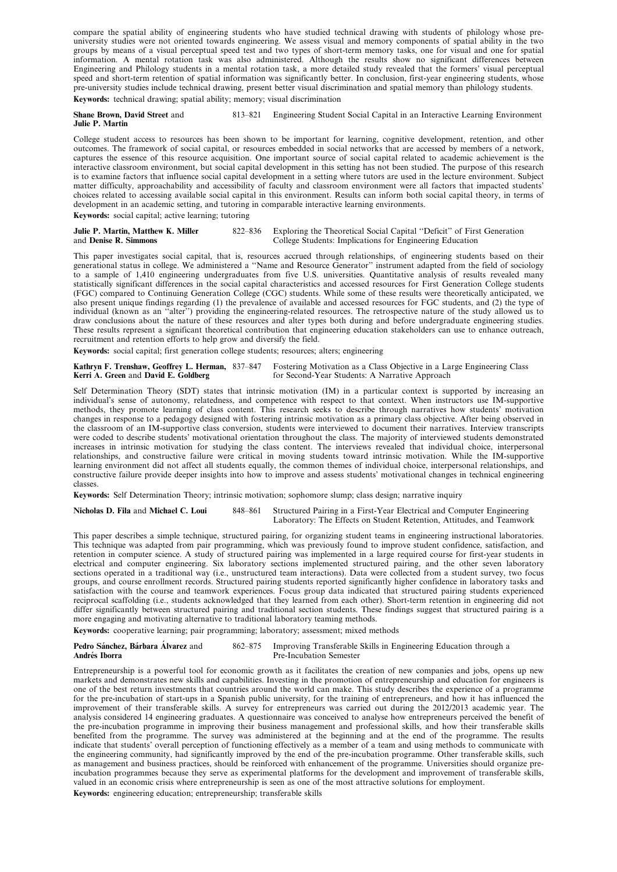compare the spatial ability of engineering students who have studied technical drawing with students of philology whose preuniversity studies were not oriented towards engineering. We assess visual and memory components of spatial ability in the two groups by means of a visual perceptual speed test and two types of short-term memory tasks, one for visual and one for spatial information. A mental rotation task was also administered. Although the results show no significant differences between Engineering and Philology students in a mental rotation task, a more detailed study revealed that the formers' visual perceptual speed and short-term retention of spatial information was significantly better. In conclusion, first-year engineering students, whose pre-university studies include technical drawing, present better visual discrimination and spatial memory than philology students. **Keywords:** technical drawing; spatial ability; memory; visual discrimination

# **Shane Brown, David Street** and 813–821 Engineering Student Social Capital in an Interactive Learning Environment **Julie P. Martin**

College student access to resources has been shown to be important for learning, cognitive development, retention, and other outcomes. The framework of social capital, or resources embedded in social networks that are accessed by members of a network, captures the essence of this resource acquisition. One important source of social capital related to academic achievement is the interactive classroom environment, but social capital development in this setting has not been studied. The purpose of this research is to examine factors that influence social capital development in a setting where tutors are used in the lecture environment. Subject matter difficulty, approachability and accessibility of faculty and classroom environment were all factors that impacted students' choices related to accessing available social capital in this environment. Results can inform both social capital theory, in terms of development in an academic setting, and tutoring in comparable interactive learning environments. **Keywords:** social capital; active learning; tutoring

| Julie P. Martin, Matthew K. Miller | 822–836 Exploring the Theoretical Social Capital "Deficit" of First Generation |
|------------------------------------|--------------------------------------------------------------------------------|
| and Denise R. Simmons              | College Students: Implications for Engineering Education                       |

This paper investigates social capital, that is, resources accrued through relationships, of engineering students based on their generational status in college. We administered a ''Name and Resource Generator'' instrument adapted from the field of sociology to a sample of 1,410 engineering undergraduates from five U.S. universities. Quantitative analysis of results revealed many statistically significant differences in the social capital characteristics and accessed resources for First Generation College students (FGC) compared to Continuing Generation College (CGC) students. While some of these results were theoretically anticipated, we also present unique findings regarding (1) the prevalence of available and accessed resources for FGC students, and (2) the type of individual (known as an ''alter'') providing the engineering-related resources. The retrospective nature of the study allowed us to draw conclusions about the nature of these resources and alter types both during and before undergraduate engineering studies. These results represent a significant theoretical contribution that engineering education stakeholders can use to enhance outreach, recruitment and retention efforts to help grow and diversify the field.

**Keywords:** social capital; first generation college students; resources; alters; engineering

**Kathryn F. Trenshaw, Geoffrey L. Herman,** 837–847 Fostering Motivation as a Class Objective in a Large Engineering Class<br>**Kerri A. Green** and **David E. Goldberg** for Second-Year Students: A Narrative Approach for Second-Year Students: A Narrative Approach

Self Determination Theory (SDT) states that intrinsic motivation (IM) in a particular context is supported by increasing an individual's sense of autonomy, relatedness, and competence with respect to that context. When instructors use IM-supportive methods, they promote learning of class content. This research seeks to describe through narratives how students' motivation changes in response to a pedagogy designed with fostering intrinsic motivation as a primary class objective. After being observed in the classroom of an IM-supportive class conversion, students were interviewed to document their narratives. Interview transcripts were coded to describe students' motivational orientation throughout the class. The majority of interviewed students demonstrated increases in intrinsic motivation for studying the class content. The interviews revealed that individual choice, interpersonal relationships, and constructive failure were critical in moving students toward intrinsic motivation. While the IM-supportive learning environment did not affect all students equally, the common themes of individual choice, interpersonal relationships, and constructive failure provide deeper insights into how to improve and assess students' motivational changes in technical engineering classes.

**Keywords:** Self Determination Theory; intrinsic motivation; sophomore slump; class design; narrative inquiry

**Nicholas D. Fila** and **Michael C. Loui** 848–861 Structured Pairing in a First-Year Electrical and Computer Engineering Laboratory: The Effects on Student Retention, Attitudes, and Teamwork

This paper describes a simple technique, structured pairing, for organizing student teams in engineering instructional laboratories. This technique was adapted from pair programming, which was previously found to improve student confidence, satisfaction, and retention in computer science. A study of structured pairing was implemented in a large required course for first-year students in electrical and computer engineering. Six laboratory sections implemented structured pairing, and the other seven laboratory sections operated in a traditional way (i.e., unstructured team interactions). Data were collected from a student survey, two focus groups, and course enrollment records. Structured pairing students reported significantly higher confidence in laboratory tasks and satisfaction with the course and teamwork experiences. Focus group data indicated that structured pairing students experienced reciprocal scaffolding (i.e., students acknowledged that they learned from each other). Short-term retention in engineering did not differ significantly between structured pairing and traditional section students. These findings suggest that structured pairing is a more engaging and motivating alternative to traditional laboratory teaming methods.

**Keywords:** cooperative learning; pair programming; laboratory; assessment; mixed methods

| Pedro Sánchez, Bárbara Alvarez and | 862–875 Improving Transferable Skills in Engineering Education through a |
|------------------------------------|--------------------------------------------------------------------------|
| Andrés Iborra                      | Pre-Incubation Semester                                                  |

Entrepreneurship is a powerful tool for economic growth as it facilitates the creation of new companies and jobs, opens up new markets and demonstrates new skills and capabilities. Investing in the promotion of entrepreneurship and education for engineers is one of the best return investments that countries around the world can make. This study describes the experience of a programme for the pre-incubation of start-ups in a Spanish public university, for the training of entrepreneurs, and how it has influenced the improvement of their transferable skills. A survey for entrepreneurs was carried out during the 2012/2013 academic year. The analysis considered 14 engineering graduates. A questionnaire was conceived to analyse how entrepreneurs perceived the benefit of the pre-incubation programme in improving their business management and professional skills, and how their transferable skills benefited from the programme. The survey was administered at the beginning and at the end of the programme. The results indicate that students' overall perception of functioning effectively as a member of a team and using methods to communicate with the engineering community, had significantly improved by the end of the pre-incubation programme. Other transferable skills, such as management and business practices, should be reinforced with enhancement of the programme. Universities should organize preincubation programmes because they serve as experimental platforms for the development and improvement of transferable skills, valued in an economic crisis where entrepreneurship is seen as one of the most attractive solutions for employment.

**Keywords:** engineering education; entrepreneurship; transferable skills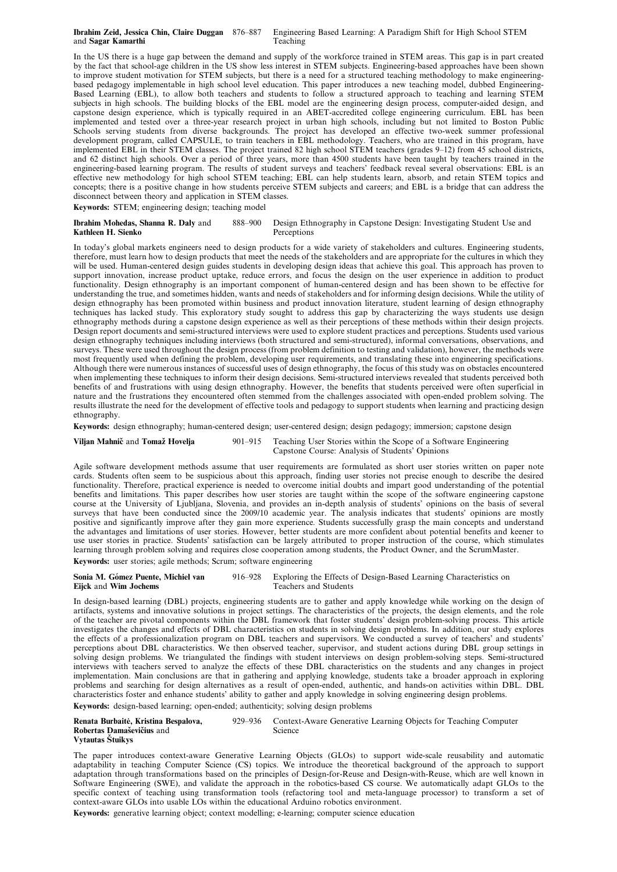## **Ibrahim Zeid, Jessica Chin, Claire Duggan** 876–887 Engineering Based Learning: A Paradigm Shift for High School STEM and **Sagar Kamarthi** Teaching

In the US there is a huge gap between the demand and supply of the workforce trained in STEM areas. This gap is in part created by the fact that school-age children in the US show less interest in STEM subjects. Engineering-based approaches have been shown to improve student motivation for STEM subjects, but there is a need for a structured teaching methodology to make engineeringbased pedagogy implementable in high school level education. This paper introduces a new teaching model, dubbed Engineering-Based Learning (EBL), to allow both teachers and students to follow a structured approach to teaching and learning STEM subjects in high schools. The building blocks of the EBL model are the engineering design process, computer-aided design, and capstone design experience, which is typically required in an ABET-accredited college engineering curriculum. EBL has been implemented and tested over a three-year research project in urban high schools, including but not limited to Boston Public Schools serving students from diverse backgrounds. The project has developed an effective two-week summer professional development program, called CAPSULE, to train teachers in EBL methodology. Teachers, who are trained in this program, have implemented EBL in their STEM classes. The project trained 82 high school STEM teachers (grades 9–12) from 45 school districts, and 62 distinct high schools. Over a period of three years, more than 4500 students have been taught by teachers trained in the engineering-based learning program. The results of student surveys and teachers' feedback reveal several observations: EBL is an effective new methodology for high school STEM teaching; EBL can help students learn, absorb, and retain STEM topics and concepts; there is a positive change in how students perceive STEM subjects and careers; and EBL is a bridge that can address the disconnect between theory and application in STEM classes.

**Keywords:** STEM; engineering design; teaching model

## **Ibrahim Mohedas, Shanna R. Daly** and 888–900 Design Ethnography in Capstone Design: Investigating Student Use and References References **Kathleen H. Sienko**

In today's global markets engineers need to design products for a wide variety of stakeholders and cultures. Engineering students, therefore, must learn how to design products that meet the needs of the stakeholders and are appropriate for the cultures in which they will be used. Human-centered design guides students in developing design ideas that achieve this goal. This approach has proven to support innovation, increase product uptake, reduce errors, and focus the design on the user experience in addition to product functionality. Design ethnography is an important component of human-centered design and has been shown to be effective for understanding the true, and sometimes hidden, wants and needs of stakeholders and for informing design decisions. While the utility of design ethnography has been promoted within business and product innovation literature, student learning of design ethnography techniques has lacked study. This exploratory study sought to address this gap by characterizing the ways students use design ethnography methods during a capstone design experience as well as their perceptions of these methods within their design projects. Design report documents and semi-structured interviews were used to explore student practices and perceptions. Students used various design ethnography techniques including interviews (both structured and semi-structured), informal conversations, observations, and surveys. These were used throughout the design process (from problem definition to testing and validation), however, the methods were most frequently used when defining the problem, developing user requirements, and translating these into engineering specifications. Although there were numerous instances of successful uses of design ethnography, the focus of this study was on obstacles encountered when implementing these techniques to inform their design decisions. Semi-structured interviews revealed that students perceived both benefits of and frustrations with using design ethnography. However, the benefits that students perceived were often superficial in nature and the frustrations they encountered often stemmed from the challenges associated with open-ended problem solving. The results illustrate the need for the development of effective tools and pedagogy to support students when learning and practicing design ethnography.

**Keywords:** design ethnography; human-centered design; user-centered design; design pedagogy; immersion; capstone design

**Viljan Mahnič** and **Tomaž Hovelja** 901–915 Teaching User Stories within the Scope of a Software Engineering Capstone Course: Analysis of Students' Opinions

Agile software development methods assume that user requirements are formulated as short user stories written on paper note cards. Students often seem to be suspicious about this approach, finding user stories not precise enough to describe the desired functionality. Therefore, practical experience is needed to overcome initial doubts and impart good understanding of the potential benefits and limitations. This paper describes how user stories are taught within the scope of the software engineering capstone course at the University of Ljubljana, Slovenia, and provides an in-depth analysis of students' opinions on the basis of several surveys that have been conducted since the 2009/10 academic year. The analysis indicates that students' opinions are mostly positive and significantly improve after they gain more experience. Students successfully grasp the main concepts and understand the advantages and limitations of user stories. However, better students are more confident about potential benefits and keener to use user stories in practice. Students' satisfaction can be largely attributed to proper instruction of the course, which stimulates learning through problem solving and requires close cooperation among students, the Product Owner, and the ScrumMaster.

**Keywords:** user stories; agile methods; Scrum; software engineering

## **Sonia M. Gómez Puente, Michiel van** 916–928 Exploring the Effects of Design-Based Learning Characteristics on Fiick and Wim Jochems **Eijck** and **Wim Jochems**

In design-based learning (DBL) projects, engineering students are to gather and apply knowledge while working on the design of artifacts, systems and innovative solutions in project settings. The characteristics of the projects, the design elements, and the role of the teacher are pivotal components within the DBL framework that foster students' design problem-solving process. This article investigates the changes and effects of DBL characteristics on students in solving design problems. In addition, our study explores the effects of a professionalization program on DBL teachers and supervisors. We conducted a survey of teachers' and students' perceptions about DBL characteristics. We then observed teacher, supervisor, and student actions during DBL group settings in solving design problems. We triangulated the findings with student interviews on design problem-solving steps. Semi-structured interviews with teachers served to analyze the effects of these DBL characteristics on the students and any changes in project implementation. Main conclusions are that in gathering and applying knowledge, students take a broader approach in exploring problems and searching for design alternatives as a result of open-ended, authentic, and hands-on activities within DBL. DBL characteristics foster and enhance students' ability to gather and apply knowledge in solving engineering design problems. **Keywords:** design-based learning; open-ended; authenticity; solving design problems

**Renata Burbaite˙, Kristina Bespalova,** 929–936 Context-Aware Generative Learning Objects for Teaching Computer **Robertas Damaševičius** and Science **Vytautas Sˇtuikys**

The paper introduces context-aware Generative Learning Objects (GLOs) to support wide-scale reusability and automatic adaptability in teaching Computer Science (CS) topics. We introduce the theoretical background of the approach to support adaptation through transformations based on the principles of Design-for-Reuse and Design-with-Reuse, which are well known in Software Engineering (SWE), and validate the approach in the robotics-based CS course. We automatically adapt GLOs to the specific context of teaching using transformation tools (refactoring tool and meta-language processor) to transform a set of context-aware GLOs into usable LOs within the educational Arduino robotics environment.

**Keywords:** generative learning object; context modelling; e-learning; computer science education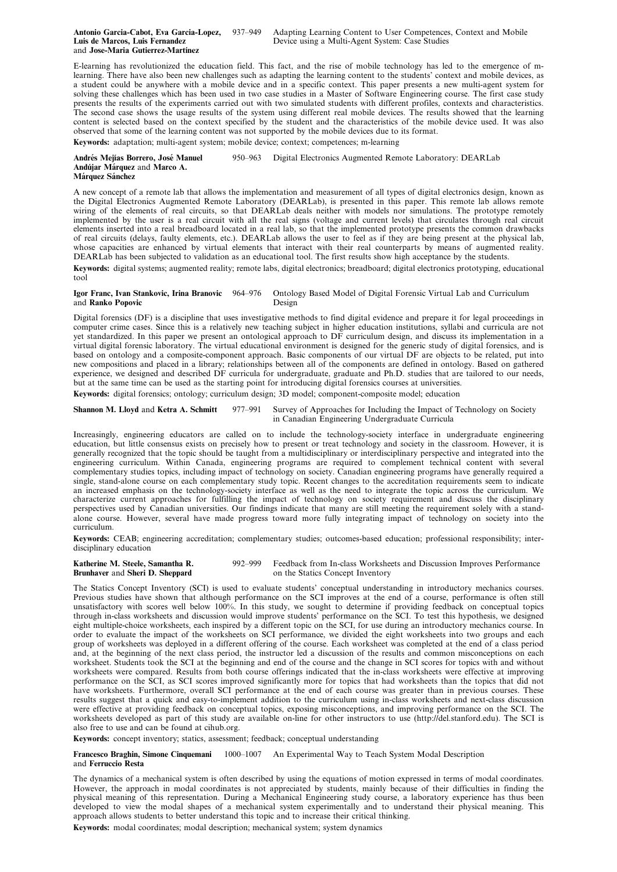E-learning has revolutionized the education field. This fact, and the rise of mobile technology has led to the emergence of mlearning. There have also been new challenges such as adapting the learning content to the students' context and mobile devices, as a student could be anywhere with a mobile device and in a specific context. This paper presents a new multi-agent system for solving these challenges which has been used in two case studies in a Master of Software Engineering course. The first case study presents the results of the experiments carried out with two simulated students with different profiles, contexts and characteristics. The second case shows the usage results of the system using different real mobile devices. The results showed that the learning content is selected based on the context specified by the student and the characteristics of the mobile device used. It was also observed that some of the learning content was not supported by the mobile devices due to its format.

**Keywords:** adaptation; multi-agent system; mobile device; context; competences; m-learning

**Andre´s Mejı´as Borrero, Jose´ Manuel** 950–963 Digital Electronics Augmented Remote Laboratory: DEARLab **Andu´jar Ma´rquez** and **Marco A. Márquez Sánchez** 

A new concept of a remote lab that allows the implementation and measurement of all types of digital electronics design, known as the Digital Electronics Augmented Remote Laboratory (DEARLab), is presented in this paper. This remote lab allows remote wiring of the elements of real circuits, so that DEARLab deals neither with models nor simulations. The prototype remotely implemented by the user is a real circuit with all the real signs (voltage and current levels) that circulates through real circuit elements inserted into a real breadboard located in a real lab, so that the implemented prototype presents the common drawbacks of real circuits (delays, faulty elements, etc.). DEARLab allows the user to feel as if they are being present at the physical lab, whose capacities are enhanced by virtual elements that interact with their real counterparts by means of augmented reality. DEARLab has been subjected to validation as an educational tool. The first results show high acceptance by the students.

**Keywords:** digital systems; augmented reality; remote labs, digital electronics; breadboard; digital electronics prototyping, educational tool

# **Igor Franc, Ivan Stankovic, Irina Branovic** 964–976 Ontology Based Model of Digital Forensic Virtual Lab and Curriculum and **Ranko Popovic**

Digital forensics (DF) is a discipline that uses investigative methods to find digital evidence and prepare it for legal proceedings in computer crime cases. Since this is a relatively new teaching subject in higher education institutions, syllabi and curricula are not yet standardized. In this paper we present an ontological approach to DF curriculum design, and discuss its implementation in a virtual digital forensic laboratory. The virtual educational environment is designed for the generic study of digital forensics, and is based on ontology and a composite-component approach. Basic components of our virtual DF are objects to be related, put into new compositions and placed in a library; relationships between all of the components are defined in ontology. Based on gathered experience, we designed and described DF curricula for undergraduate, graduate and Ph.D. studies that are tailored to our needs, but at the same time can be used as the starting point for introducing digital forensics courses at universities. **Keywords:** digital forensics; ontology; curriculum design; 3D model; component-composite model; education

**Shannon M. Lloyd** and **Ketra A. Schmitt** 977–991 Survey of Approaches for Including the Impact of Technology on Society in Canadian Engineering Undergraduate Curricula

Increasingly, engineering educators are called on to include the technology-society interface in undergraduate engineering education, but little consensus exists on precisely how to present or treat technology and society in the classroom. However, it is generally recognized that the topic should be taught from a multidisciplinary or interdisciplinary perspective and integrated into the engineering curriculum. Within Canada, engineering programs are required to complement technical content with several complementary studies topics, including impact of technology on society. Canadian engineering programs have generally required a single, stand-alone course on each complementary study topic. Recent changes to the accreditation requirements seem to indicate an increased emphasis on the technology-society interface as well as the need to integrate the topic across the curriculum. We characterize current approaches for fulfilling the impact of technology on society requirement and discuss the disciplinary perspectives used by Canadian universities. Our findings indicate that many are still meeting the requirement solely with a standalone course. However, several have made progress toward more fully integrating impact of technology on society into the curriculum.

**Keywords:** CEAB; engineering accreditation; complementary studies; outcomes-based education; professional responsibility; interdisciplinary education

**Katherine M. Steele, Samantha R.** 992–999 Feedback from In-class Worksheets and Discussion Improves Performance<br>**Brunhaver** and **Sheri D. Sheppard** on the Statics Concept Inventory **Brunhaver** and **Sheri D. Sheppard** 

The Statics Concept Inventory (SCI) is used to evaluate students' conceptual understanding in introductory mechanics courses. Previous studies have shown that although performance on the SCI improves at the end of a course, performance is often still unsatisfactory with scores well below 100%. In this study, we sought to determine if providing feedback on conceptual topics through in-class worksheets and discussion would improve students' performance on the SCI. To test this hypothesis, we designed eight multiple-choice worksheets, each inspired by a different topic on the SCI, for use during an introductory mechanics course. In order to evaluate the impact of the worksheets on SCI performance, we divided the eight worksheets into two groups and each group of worksheets was deployed in a different offering of the course. Each worksheet was completed at the end of a class period and, at the beginning of the next class period, the instructor led a discussion of the results and common misconceptions on each worksheet. Students took the SCI at the beginning and end of the course and the change in SCI scores for topics with and without worksheets were compared. Results from both course offerings indicated that the in-class worksheets were effective at improving performance on the SCI, as SCI scores improved significantly more for topics that had worksheets than the topics that did not have worksheets. Furthermore, overall SCI performance at the end of each course was greater than in previous courses. These results suggest that a quick and easy-to-implement addition to the curriculum using in-class worksheets and next-class discussion were effective at providing feedback on conceptual topics, exposing misconceptions, and improving performance on the SCI. The worksheets developed as part of this study are available on-line for other instructors to use (http://del.stanford.edu). The SCI is also free to use and can be found at cihub.org.

**Keywords:** concept inventory; statics, assessment; feedback; conceptual understanding

#### **Francesco Braghin, Simone Cinquemani** 1000–1007 An Experimental Way to Teach System Modal Description and **Ferruccio Resta**

The dynamics of a mechanical system is often described by using the equations of motion expressed in terms of modal coordinates. However, the approach in modal coordinates is not appreciated by students, mainly because of their difficulties in finding the physical meaning of this representation. During a Mechanical Engineering study course, a laboratory experience has thus been developed to view the modal shapes of a mechanical system experimentally and to understand their physical meaning. This approach allows students to better understand this topic and to increase their critical thinking.

**Keywords:** modal coordinates; modal description; mechanical system; system dynamics